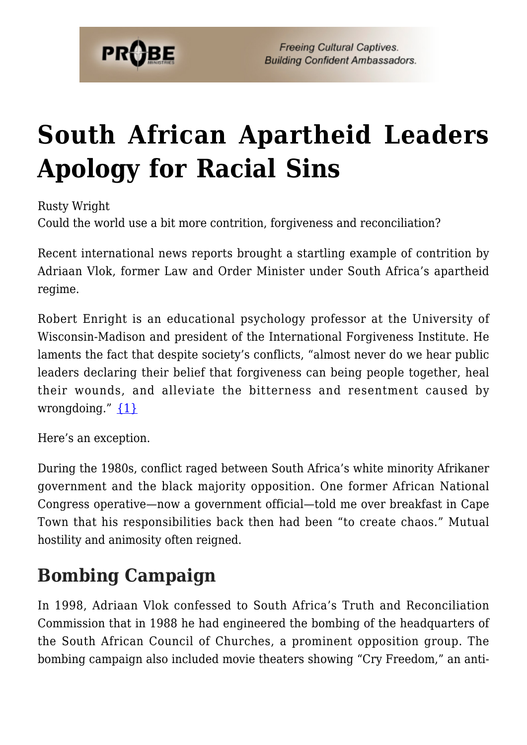

# **[South African Apartheid Leaders](https://probe.org/south-african-apartheid-leaders-apology-for-racial-sins/) [Apology for Racial Sins](https://probe.org/south-african-apartheid-leaders-apology-for-racial-sins/)**

Rusty Wright

Could the world use a bit more contrition, forgiveness and reconciliation?

Recent international news reports brought a startling example of contrition by Adriaan Vlok, former Law and Order Minister under South Africa's apartheid regime.

Robert Enright is an educational psychology professor at the University of Wisconsin-Madison and president of the International Forgiveness Institute. He laments the fact that despite society's conflicts, "almost never do we hear public leaders declaring their belief that forgiveness can being people together, heal their wounds, and alleviate the bitterness and resentment caused by wrongdoing."  $\{1\}$ 

Here's an exception.

During the 1980s, conflict raged between South Africa's white minority Afrikaner government and the black majority opposition. One former African National Congress operative—now a government official—told me over breakfast in Cape Town that his responsibilities back then had been "to create chaos." Mutual hostility and animosity often reigned.

# **Bombing Campaign**

In 1998, Adriaan Vlok confessed to South Africa's Truth and Reconciliation Commission that in 1988 he had engineered the bombing of the headquarters of the South African Council of Churches, a prominent opposition group. The bombing campaign also included movie theaters showing "Cry Freedom," an anti-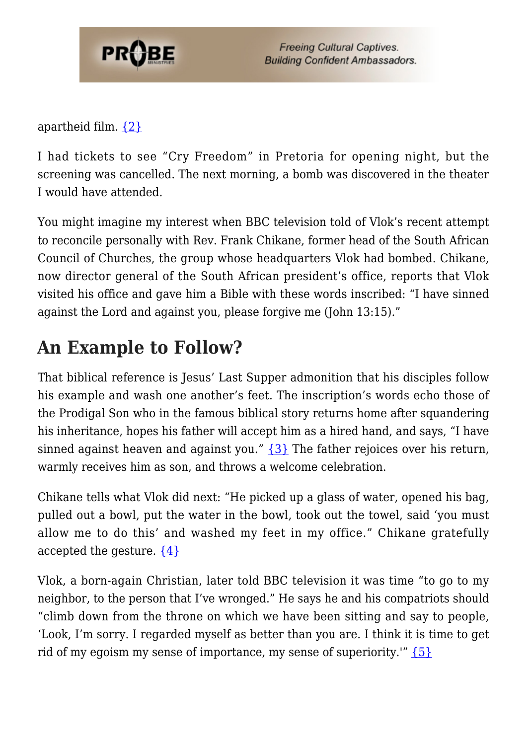

**Freeing Cultural Captives. Building Confident Ambassadors.** 

apartheid film. [{2}](#page-2-1)

I had tickets to see "Cry Freedom" in Pretoria for opening night, but the screening was cancelled. The next morning, a bomb was discovered in the theater I would have attended.

You might imagine my interest when BBC television told of Vlok's recent attempt to reconcile personally with Rev. Frank Chikane, former head of the South African Council of Churches, the group whose headquarters Vlok had bombed. Chikane, now director general of the South African president's office, reports that Vlok visited his office and gave him a Bible with these words inscribed: "I have sinned against the Lord and against you, please forgive me (John 13:15)."

### **An Example to Follow?**

That biblical reference is Jesus' Last Supper admonition that his disciples follow his example and wash one another's feet. The inscription's words echo those of the Prodigal Son who in the famous biblical story returns home after squandering his inheritance, hopes his father will accept him as a hired hand, and says, "I have sinned against heaven and against you." [{3}](#page-2-2) The father rejoices over his return, warmly receives him as son, and throws a welcome celebration.

Chikane tells what Vlok did next: "He picked up a glass of water, opened his bag, pulled out a bowl, put the water in the bowl, took out the towel, said 'you must allow me to do this' and washed my feet in my office." Chikane gratefully accepted the gesture.  $\{4\}$ 

Vlok, a born-again Christian, later told BBC television it was time "to go to my neighbor, to the person that I've wronged." He says he and his compatriots should "climb down from the throne on which we have been sitting and say to people, 'Look, I'm sorry. I regarded myself as better than you are. I think it is time to get rid of my egoism my sense of importance, my sense of superiority.'"  $\{5\}$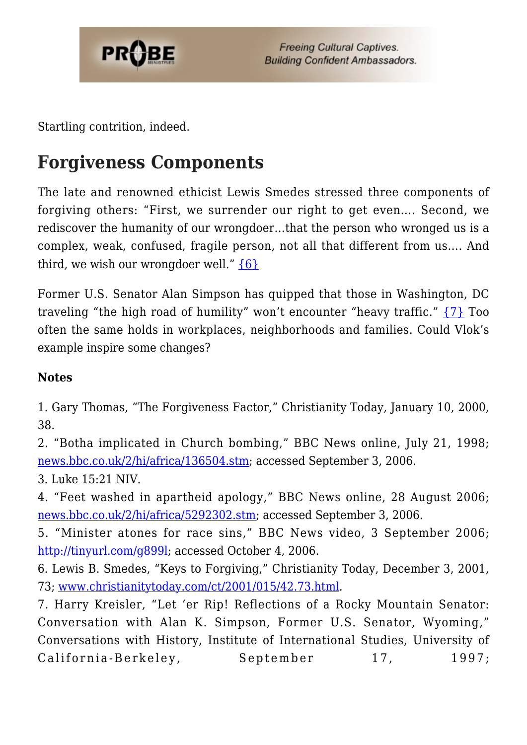

Startling contrition, indeed.

# **Forgiveness Components**

The late and renowned ethicist Lewis Smedes stressed three components of forgiving others: "First, we surrender our right to get even…. Second, we rediscover the humanity of our wrongdoer…that the person who wronged us is a complex, weak, confused, fragile person, not all that different from us…. And third, we wish our wrongdoer well." [{6}](#page-2-5)

Former U.S. Senator Alan Simpson has quipped that those in Washington, DC traveling "the high road of humility" won't encounter "heavy traffic." [{7}](#page-2-6) Too often the same holds in workplaces, neighborhoods and families. Could Vlok's example inspire some changes?

#### **Notes**

<span id="page-2-0"></span>1. Gary Thomas, "The Forgiveness Factor," Christianity Today, January 10, 2000, 38.

<span id="page-2-1"></span>2. "Botha implicated in Church bombing," BBC News online, July 21, 1998; [news.bbc.co.uk/2/hi/africa/136504.stm](http://news.bbc.co.uk/2/hi/africa/136504.stm); accessed September 3, 2006.

<span id="page-2-2"></span>3. Luke 15:21 NIV.

<span id="page-2-3"></span>4. "Feet washed in apartheid apology," BBC News online, 28 August 2006; [news.bbc.co.uk/2/hi/africa/5292302.stm](http://news.bbc.co.uk/2/hi/africa/5292302.stm); accessed September 3, 2006.

<span id="page-2-4"></span>5. "Minister atones for race sins," BBC News video, 3 September 2006; [http://tinyurl.com/g899l;](http://tinyurl.com/g899l) accessed October 4, 2006.

<span id="page-2-5"></span>6. Lewis B. Smedes, "Keys to Forgiving," Christianity Today, December 3, 2001, 73; [www.christianitytoday.com/ct/2001/015/42.73.html](http://www.christianitytoday.com/ct/2001/015/42.73.html).

<span id="page-2-6"></span>7. Harry Kreisler, "Let 'er Rip! Reflections of a Rocky Mountain Senator: Conversation with Alan K. Simpson, Former U.S. Senator, Wyoming," Conversations with History, Institute of International Studies, University of California-Berkeley, September 17, 1997;